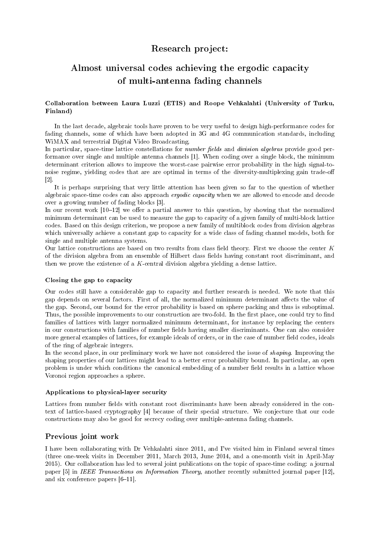## Research project:

# Almost universal codes achieving the ergodic capacity of multi-antenna fading channels

#### Collaboration between Laura Luzzi (ETIS) and Roope Vehkalahti (University of Turku, Finland)

In the last decade, algebraic tools have proven to be very useful to design high-performance codes for fading channels, some of which have been adopted in 3G and 4G communication standards, including WiMAX and terrestrial Digital Video Broadcasting.

In particular, space-time lattice constellations for *number fields* and *division algebras* provide good performance over single and multiple antenna channels [1]. When coding over a single block, the minimum determinant criterion allows to improve the worst-case pairwise error probability in the high signal-tonoise regime, yielding codes that are are optimal in terms of the diversity-multiplexing gain trade-o [2].

It is perhaps surprising that very little attention has been given so far to the question of whether algebraic space-time codes can also approach ergodic capacity when we are allowed to encode and decode over a growing number of fading blocks [3].

In our recent work  $[10-12]$  we offer a partial answer to this question, by showing that the normalized minimum determinant can be used to measure the gap to capacity of a given family of multi-block lattice codes. Based on this design criterion, we propose a new family of multiblock codes from division algebras which universally achieve a constant gap to capacity for a wide class of fading channel models, both for single and multiple antenna systems.

Our lattice constructions are based on two results from class field theory. First we choose the center  $K$ of the division algebra from an ensemble of Hilbert class elds having constant root discriminant, and then we prove the existence of a K-central division algebra yielding a dense lattice.

#### Closing the gap to capacity

Our codes still have a considerable gap to capacity and further research is needed. We note that this gap depends on several factors. First of all, the normalized minimum determinant affects the value of the gap. Second, our bound for the error probability is based on sphere packing and thus is suboptimal. Thus, the possible improvements to our construction are two-fold. In the first place, one could try to find families of lattices with larger normalized minimum determinant, for instance by replacing the centers in our constructions with families of number fields having smaller discriminants. One can also consider more general examples of lattices, for example ideals of orders, or in the case of number field codes, ideals of the ring of algebraic integers.

In the second place, in our preliminary work we have not considered the issue of *shaping*. Improving the shaping properties of our lattices might lead to a better error probability bound. In particular, an open problem is under which conditions the canonical embedding of a number field results in a lattice whose Voronoi region approaches a sphere.

#### Applications to physical-layer security

Lattices from number fields with constant root discriminants have been already considered in the context of lattice-based cryptography [4] because of their special structure. We conjecture that our code constructions may also be good for secrecy coding over multiple-antenna fading channels.

### Previous joint work

I have been collaborating with Dr Vehkalahti since 2011, and I've visited him in Finland several times (three one-week visits in December 2011, March 2013, June 2014, and a one-month visit in April-May 2015). Our collaboration has led to several joint publications on the topic of space-time coding: a journal paper [5] in IEEE Transactions on Information Theory, another recently submitted journal paper [12], and six conference papers  $[6-11]$ .